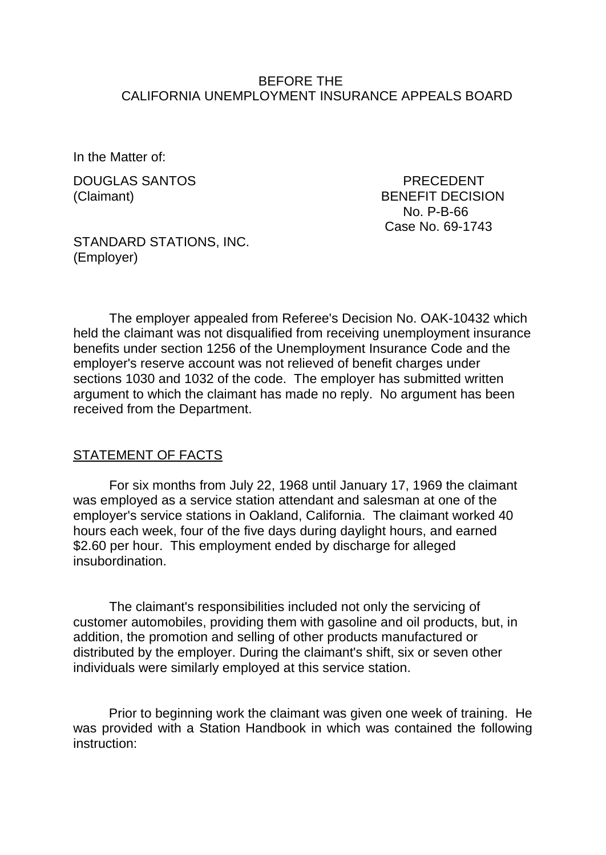#### BEFORE THE CALIFORNIA UNEMPLOYMENT INSURANCE APPEALS BOARD

In the Matter of:

DOUGLAS SANTOS PRECEDENT

(Claimant) BENEFIT DECISION No. P-B-66 Case No. 69-1743

STANDARD STATIONS, INC. (Employer)

The employer appealed from Referee's Decision No. OAK-10432 which held the claimant was not disqualified from receiving unemployment insurance benefits under section 1256 of the Unemployment Insurance Code and the employer's reserve account was not relieved of benefit charges under sections 1030 and 1032 of the code. The employer has submitted written argument to which the claimant has made no reply. No argument has been received from the Department.

#### STATEMENT OF FACTS

For six months from July 22, 1968 until January 17, 1969 the claimant was employed as a service station attendant and salesman at one of the employer's service stations in Oakland, California. The claimant worked 40 hours each week, four of the five days during daylight hours, and earned \$2.60 per hour. This employment ended by discharge for alleged insubordination.

The claimant's responsibilities included not only the servicing of customer automobiles, providing them with gasoline and oil products, but, in addition, the promotion and selling of other products manufactured or distributed by the employer. During the claimant's shift, six or seven other individuals were similarly employed at this service station.

Prior to beginning work the claimant was given one week of training. He was provided with a Station Handbook in which was contained the following instruction: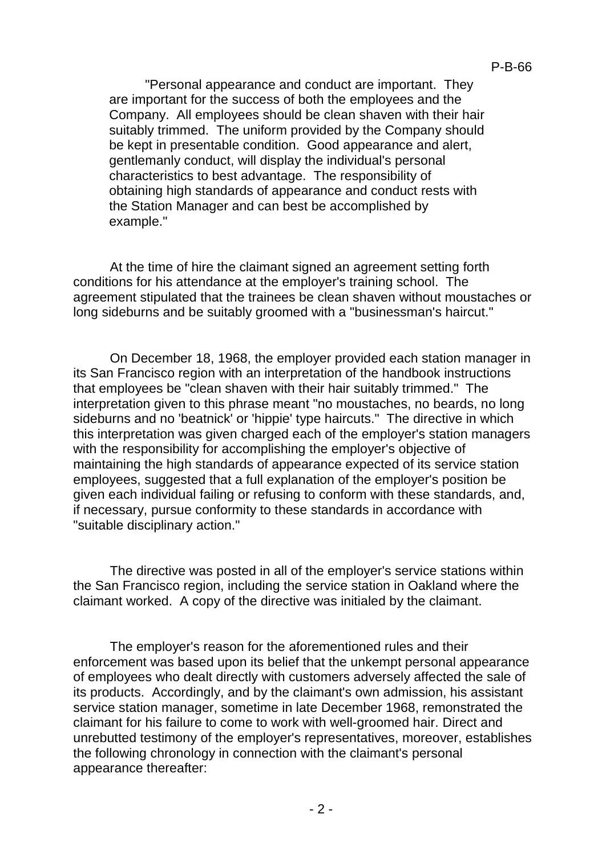"Personal appearance and conduct are important. They are important for the success of both the employees and the Company. All employees should be clean shaven with their hair suitably trimmed. The uniform provided by the Company should be kept in presentable condition. Good appearance and alert, gentlemanly conduct, will display the individual's personal characteristics to best advantage. The responsibility of obtaining high standards of appearance and conduct rests with the Station Manager and can best be accomplished by example."

At the time of hire the claimant signed an agreement setting forth conditions for his attendance at the employer's training school. The agreement stipulated that the trainees be clean shaven without moustaches or long sideburns and be suitably groomed with a "businessman's haircut."

On December 18, 1968, the employer provided each station manager in its San Francisco region with an interpretation of the handbook instructions that employees be "clean shaven with their hair suitably trimmed." The interpretation given to this phrase meant "no moustaches, no beards, no long sideburns and no 'beatnick' or 'hippie' type haircuts." The directive in which this interpretation was given charged each of the employer's station managers with the responsibility for accomplishing the employer's objective of maintaining the high standards of appearance expected of its service station employees, suggested that a full explanation of the employer's position be given each individual failing or refusing to conform with these standards, and, if necessary, pursue conformity to these standards in accordance with "suitable disciplinary action."

The directive was posted in all of the employer's service stations within the San Francisco region, including the service station in Oakland where the claimant worked. A copy of the directive was initialed by the claimant.

The employer's reason for the aforementioned rules and their enforcement was based upon its belief that the unkempt personal appearance of employees who dealt directly with customers adversely affected the sale of its products. Accordingly, and by the claimant's own admission, his assistant service station manager, sometime in late December 1968, remonstrated the claimant for his failure to come to work with well-groomed hair. Direct and unrebutted testimony of the employer's representatives, moreover, establishes the following chronology in connection with the claimant's personal appearance thereafter: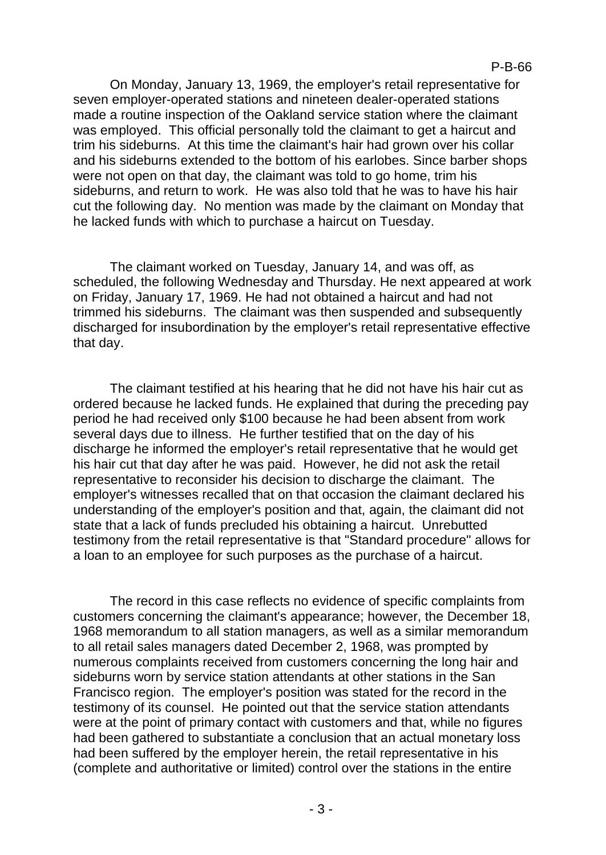On Monday, January 13, 1969, the employer's retail representative for seven employer-operated stations and nineteen dealer-operated stations made a routine inspection of the Oakland service station where the claimant was employed. This official personally told the claimant to get a haircut and trim his sideburns. At this time the claimant's hair had grown over his collar and his sideburns extended to the bottom of his earlobes. Since barber shops were not open on that day, the claimant was told to go home, trim his sideburns, and return to work. He was also told that he was to have his hair cut the following day. No mention was made by the claimant on Monday that he lacked funds with which to purchase a haircut on Tuesday.

The claimant worked on Tuesday, January 14, and was off, as scheduled, the following Wednesday and Thursday. He next appeared at work on Friday, January 17, 1969. He had not obtained a haircut and had not trimmed his sideburns. The claimant was then suspended and subsequently discharged for insubordination by the employer's retail representative effective that day.

The claimant testified at his hearing that he did not have his hair cut as ordered because he lacked funds. He explained that during the preceding pay period he had received only \$100 because he had been absent from work several days due to illness. He further testified that on the day of his discharge he informed the employer's retail representative that he would get his hair cut that day after he was paid. However, he did not ask the retail representative to reconsider his decision to discharge the claimant. The employer's witnesses recalled that on that occasion the claimant declared his understanding of the employer's position and that, again, the claimant did not state that a lack of funds precluded his obtaining a haircut. Unrebutted testimony from the retail representative is that "Standard procedure" allows for a loan to an employee for such purposes as the purchase of a haircut.

The record in this case reflects no evidence of specific complaints from customers concerning the claimant's appearance; however, the December 18, 1968 memorandum to all station managers, as well as a similar memorandum to all retail sales managers dated December 2, 1968, was prompted by numerous complaints received from customers concerning the long hair and sideburns worn by service station attendants at other stations in the San Francisco region. The employer's position was stated for the record in the testimony of its counsel. He pointed out that the service station attendants were at the point of primary contact with customers and that, while no figures had been gathered to substantiate a conclusion that an actual monetary loss had been suffered by the employer herein, the retail representative in his (complete and authoritative or limited) control over the stations in the entire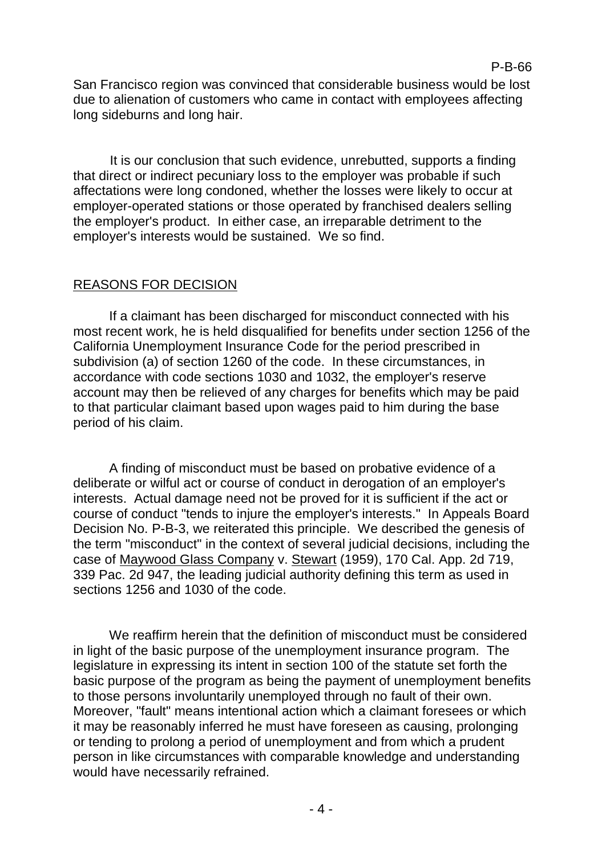### P-B-66

San Francisco region was convinced that considerable business would be lost due to alienation of customers who came in contact with employees affecting long sideburns and long hair.

It is our conclusion that such evidence, unrebutted, supports a finding that direct or indirect pecuniary loss to the employer was probable if such affectations were long condoned, whether the losses were likely to occur at employer-operated stations or those operated by franchised dealers selling the employer's product. In either case, an irreparable detriment to the employer's interests would be sustained. We so find.

# REASONS FOR DECISION

If a claimant has been discharged for misconduct connected with his most recent work, he is held disqualified for benefits under section 1256 of the California Unemployment Insurance Code for the period prescribed in subdivision (a) of section 1260 of the code. In these circumstances, in accordance with code sections 1030 and 1032, the employer's reserve account may then be relieved of any charges for benefits which may be paid to that particular claimant based upon wages paid to him during the base period of his claim.

A finding of misconduct must be based on probative evidence of a deliberate or wilful act or course of conduct in derogation of an employer's interests. Actual damage need not be proved for it is sufficient if the act or course of conduct "tends to injure the employer's interests." In Appeals Board Decision No. P-B-3, we reiterated this principle. We described the genesis of the term "misconduct" in the context of several judicial decisions, including the case of Maywood Glass Company v. Stewart (1959), 170 Cal. App. 2d 719, 339 Pac. 2d 947, the leading judicial authority defining this term as used in sections 1256 and 1030 of the code.

We reaffirm herein that the definition of misconduct must be considered in light of the basic purpose of the unemployment insurance program. The legislature in expressing its intent in section 100 of the statute set forth the basic purpose of the program as being the payment of unemployment benefits to those persons involuntarily unemployed through no fault of their own. Moreover, "fault" means intentional action which a claimant foresees or which it may be reasonably inferred he must have foreseen as causing, prolonging or tending to prolong a period of unemployment and from which a prudent person in like circumstances with comparable knowledge and understanding would have necessarily refrained.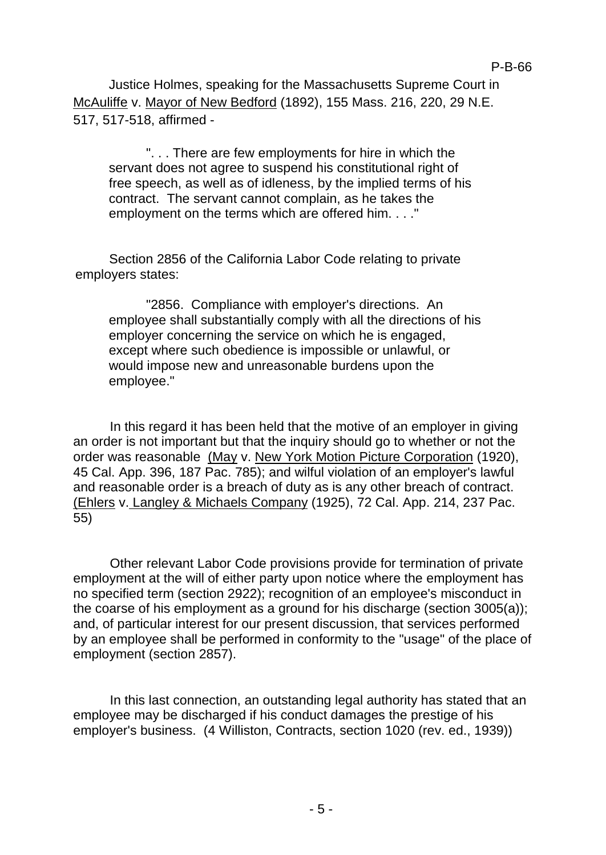Justice Holmes, speaking for the Massachusetts Supreme Court in McAuliffe v. Mayor of New Bedford (1892), 155 Mass. 216, 220, 29 N.E. 517, 517-518, affirmed -

". . . There are few employments for hire in which the servant does not agree to suspend his constitutional right of free speech, as well as of idleness, by the implied terms of his contract. The servant cannot complain, as he takes the employment on the terms which are offered him. . . ."

Section 2856 of the California Labor Code relating to private employers states:

"2856. Compliance with employer's directions. An employee shall substantially comply with all the directions of his employer concerning the service on which he is engaged, except where such obedience is impossible or unlawful, or would impose new and unreasonable burdens upon the employee."

In this regard it has been held that the motive of an employer in giving an order is not important but that the inquiry should go to whether or not the order was reasonable (May v. New York Motion Picture Corporation (1920), 45 Cal. App. 396, 187 Pac. 785); and wilful violation of an employer's lawful and reasonable order is a breach of duty as is any other breach of contract. (Ehlers v. Langley & Michaels Company (1925), 72 Cal. App. 214, 237 Pac. 55)

Other relevant Labor Code provisions provide for termination of private employment at the will of either party upon notice where the employment has no specified term (section 2922); recognition of an employee's misconduct in the coarse of his employment as a ground for his discharge (section 3005(a)); and, of particular interest for our present discussion, that services performed by an employee shall be performed in conformity to the "usage" of the place of employment (section 2857).

In this last connection, an outstanding legal authority has stated that an employee may be discharged if his conduct damages the prestige of his employer's business. (4 Williston, Contracts, section 1020 (rev. ed., 1939))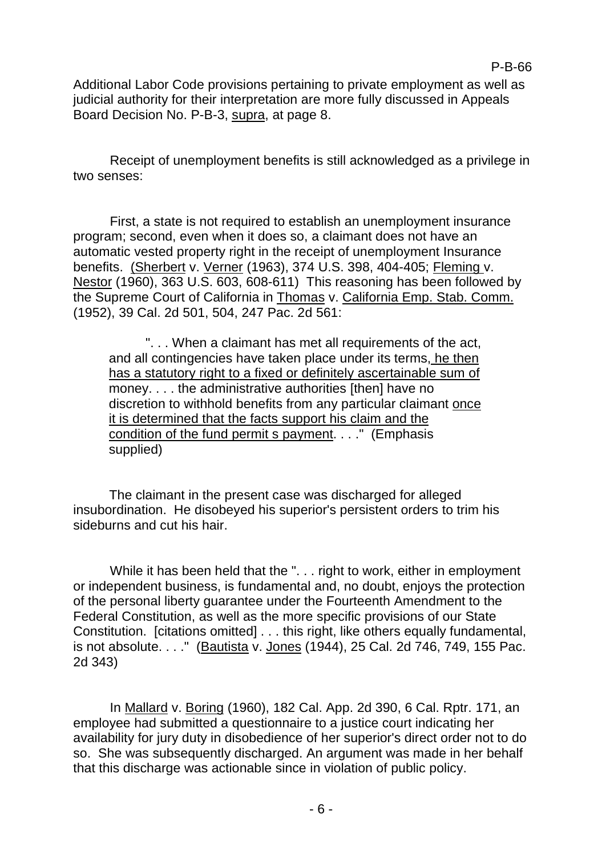P-B-66

Additional Labor Code provisions pertaining to private employment as well as judicial authority for their interpretation are more fully discussed in Appeals Board Decision No. P-B-3, supra, at page 8.

Receipt of unemployment benefits is still acknowledged as a privilege in two senses:

First, a state is not required to establish an unemployment insurance program; second, even when it does so, a claimant does not have an automatic vested property right in the receipt of unemployment Insurance benefits. (Sherbert v. Verner (1963), 374 U.S. 398, 404-405; Fleming v. Nestor (1960), 363 U.S. 603, 608-611) This reasoning has been followed by the Supreme Court of California in Thomas v. California Emp. Stab. Comm. (1952), 39 Cal. 2d 501, 504, 247 Pac. 2d 561:

". . . When a claimant has met all requirements of the act, and all contingencies have taken place under its terms, he then has a statutory right to a fixed or definitely ascertainable sum of money. . . . the administrative authorities [then] have no discretion to withhold benefits from any particular claimant once it is determined that the facts support his claim and the condition of the fund permit s payment. . . ." (Emphasis supplied)

The claimant in the present case was discharged for alleged insubordination. He disobeyed his superior's persistent orders to trim his sideburns and cut his hair.

While it has been held that the ". . . right to work, either in employment or independent business, is fundamental and, no doubt, enjoys the protection of the personal liberty guarantee under the Fourteenth Amendment to the Federal Constitution, as well as the more specific provisions of our State Constitution. [citations omitted] . . . this right, like others equally fundamental, is not absolute. . . ." (Bautista v. Jones (1944), 25 Cal. 2d 746, 749, 155 Pac. 2d 343)

In Mallard v. Boring (1960), 182 Cal. App. 2d 390, 6 Cal. Rptr. 171, an employee had submitted a questionnaire to a justice court indicating her availability for jury duty in disobedience of her superior's direct order not to do so. She was subsequently discharged. An argument was made in her behalf that this discharge was actionable since in violation of public policy.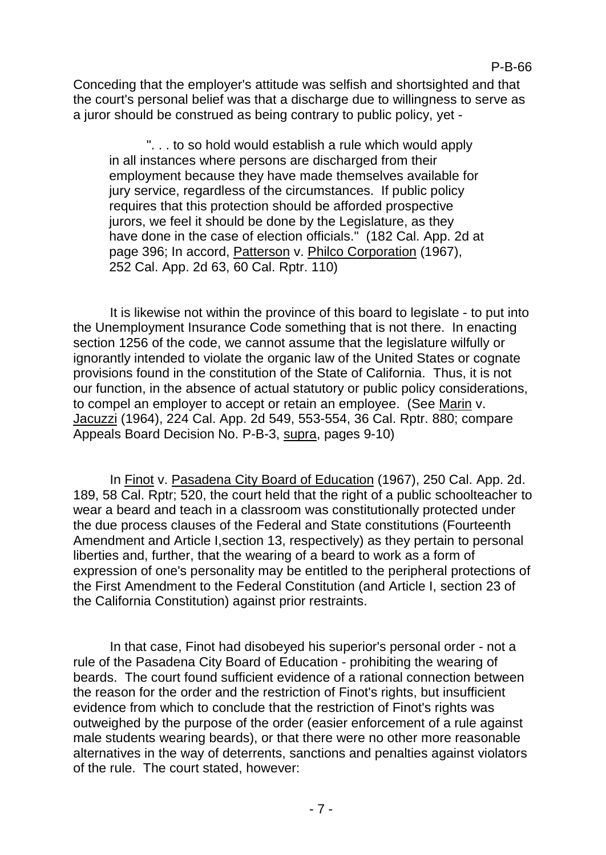Conceding that the employer's attitude was selfish and shortsighted and that the court's personal belief was that a discharge due to willingness to serve as a juror should be construed as being contrary to public policy, yet -

". . . to so hold would establish a rule which would apply in all instances where persons are discharged from their employment because they have made themselves available for jury service, regardless of the circumstances. If public policy requires that this protection should be afforded prospective jurors, we feel it should be done by the Legislature, as they have done in the case of election officials." (182 Cal. App. 2d at page 396; In accord, Patterson v. Philco Corporation (1967), 252 Cal. App. 2d 63, 60 Cal. Rptr. 110)

It is likewise not within the province of this board to legislate - to put into the Unemployment Insurance Code something that is not there. In enacting section 1256 of the code, we cannot assume that the legislature wilfully or ignorantly intended to violate the organic law of the United States or cognate provisions found in the constitution of the State of California. Thus, it is not our function, in the absence of actual statutory or public policy considerations, to compel an employer to accept or retain an employee. (See Marin v. Jacuzzi (1964), 224 Cal. App. 2d 549, 553-554, 36 Cal. Rptr. 880; compare Appeals Board Decision No. P-B-3, supra, pages 9-10)

In Finot v. Pasadena City Board of Education (1967), 250 Cal. App. 2d. 189, 58 Cal. Rptr; 520, the court held that the right of a public schoolteacher to wear a beard and teach in a classroom was constitutionally protected under the due process clauses of the Federal and State constitutions (Fourteenth Amendment and Article I,section 13, respectively) as they pertain to personal liberties and, further, that the wearing of a beard to work as a form of expression of one's personality may be entitled to the peripheral protections of the First Amendment to the Federal Constitution (and Article I, section 23 of the California Constitution) against prior restraints.

In that case, Finot had disobeyed his superior's personal order - not a rule of the Pasadena City Board of Education - prohibiting the wearing of beards. The court found sufficient evidence of a rational connection between the reason for the order and the restriction of Finot's rights, but insufficient evidence from which to conclude that the restriction of Finot's rights was outweighed by the purpose of the order (easier enforcement of a rule against male students wearing beards), or that there were no other more reasonable alternatives in the way of deterrents, sanctions and penalties against violators of the rule. The court stated, however: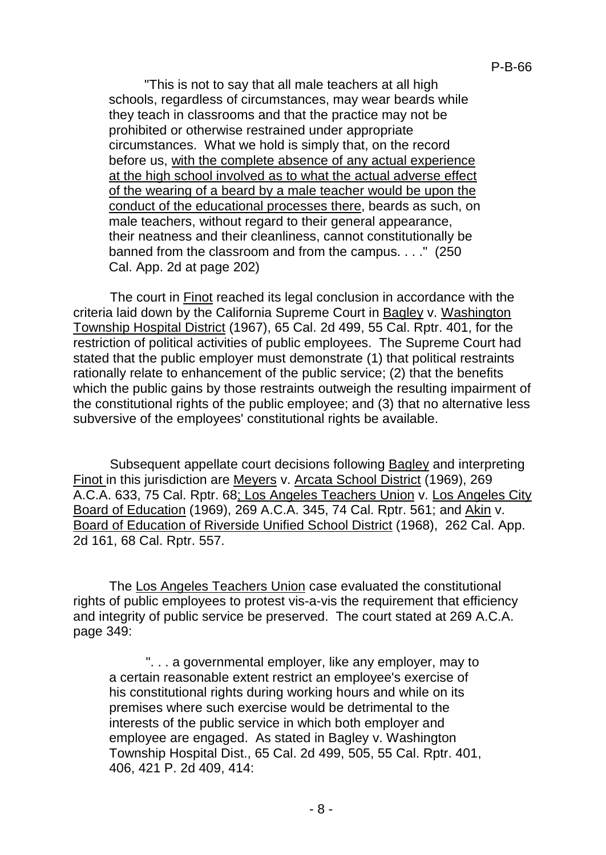"This is not to say that all male teachers at all high schools, regardless of circumstances, may wear beards while they teach in classrooms and that the practice may not be prohibited or otherwise restrained under appropriate circumstances. What we hold is simply that, on the record before us, with the complete absence of any actual experience at the high school involved as to what the actual adverse effect of the wearing of a beard by a male teacher would be upon the conduct of the educational processes there, beards as such, on male teachers, without regard to their general appearance, their neatness and their cleanliness, cannot constitutionally be banned from the classroom and from the campus. . . ." (250 Cal. App. 2d at page 202)

The court in Finot reached its legal conclusion in accordance with the criteria laid down by the California Supreme Court in Bagley v. Washington Township Hospital District (1967), 65 Cal. 2d 499, 55 Cal. Rptr. 401, for the restriction of political activities of public employees. The Supreme Court had stated that the public employer must demonstrate (1) that political restraints rationally relate to enhancement of the public service; (2) that the benefits which the public gains by those restraints outweigh the resulting impairment of the constitutional rights of the public employee; and (3) that no alternative less subversive of the employees' constitutional rights be available.

Subsequent appellate court decisions following Bagley and interpreting Finot in this jurisdiction are Meyers v. Arcata School District (1969), 269 A.C.A. 633, 75 Cal. Rptr. 68; Los Angeles Teachers Union v. Los Angeles City Board of Education (1969), 269 A.C.A. 345, 74 Cal. Rptr. 561; and Akin v. Board of Education of Riverside Unified School District (1968), 262 Cal. App. 2d 161, 68 Cal. Rptr. 557.

The Los Angeles Teachers Union case evaluated the constitutional rights of public employees to protest vis-a-vis the requirement that efficiency and integrity of public service be preserved. The court stated at 269 A.C.A. page 349:

". . . a governmental employer, like any employer, may to a certain reasonable extent restrict an employee's exercise of his constitutional rights during working hours and while on its premises where such exercise would be detrimental to the interests of the public service in which both employer and employee are engaged. As stated in Bagley v. Washington Township Hospital Dist., 65 Cal. 2d 499, 505, 55 Cal. Rptr. 401, 406, 421 P. 2d 409, 414: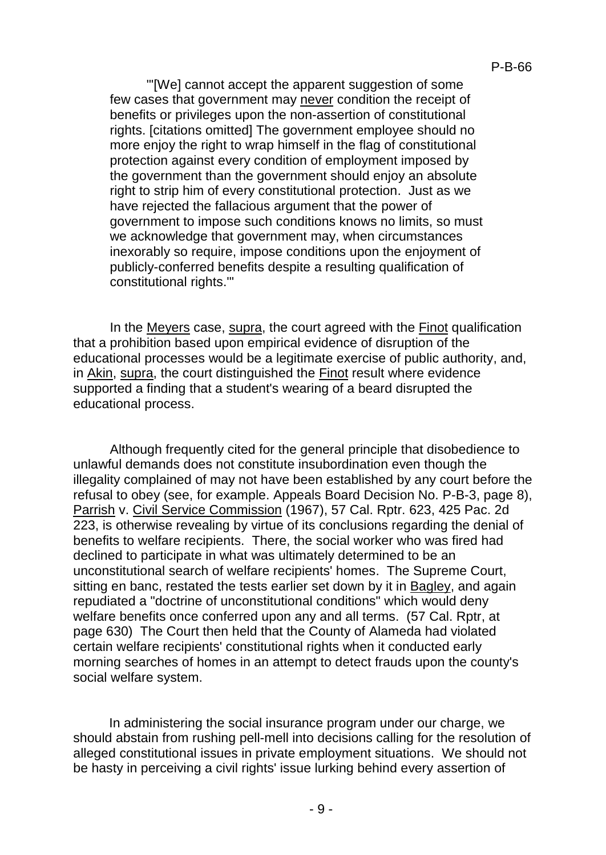"'[We] cannot accept the apparent suggestion of some few cases that government may never condition the receipt of benefits or privileges upon the non-assertion of constitutional rights. [citations omitted] The government employee should no more enjoy the right to wrap himself in the flag of constitutional protection against every condition of employment imposed by the government than the government should enjoy an absolute right to strip him of every constitutional protection. Just as we have rejected the fallacious argument that the power of government to impose such conditions knows no limits, so must we acknowledge that government may, when circumstances inexorably so require, impose conditions upon the enjoyment of publicly-conferred benefits despite a resulting qualification of constitutional rights.'"

In the Meyers case, supra, the court agreed with the Finot qualification that a prohibition based upon empirical evidence of disruption of the educational processes would be a legitimate exercise of public authority, and, in Akin, supra, the court distinguished the Finot result where evidence supported a finding that a student's wearing of a beard disrupted the educational process.

Although frequently cited for the general principle that disobedience to unlawful demands does not constitute insubordination even though the illegality complained of may not have been established by any court before the refusal to obey (see, for example. Appeals Board Decision No. P-B-3, page 8), Parrish v. Civil Service Commission (1967), 57 Cal. Rptr. 623, 425 Pac. 2d 223, is otherwise revealing by virtue of its conclusions regarding the denial of benefits to welfare recipients. There, the social worker who was fired had declined to participate in what was ultimately determined to be an unconstitutional search of welfare recipients' homes. The Supreme Court, sitting en banc, restated the tests earlier set down by it in Bagley, and again repudiated a "doctrine of unconstitutional conditions" which would deny welfare benefits once conferred upon any and all terms. (57 Cal. Rptr, at page 630) The Court then held that the County of Alameda had violated certain welfare recipients' constitutional rights when it conducted early morning searches of homes in an attempt to detect frauds upon the county's social welfare system.

In administering the social insurance program under our charge, we should abstain from rushing pell-mell into decisions calling for the resolution of alleged constitutional issues in private employment situations. We should not be hasty in perceiving a civil rights' issue lurking behind every assertion of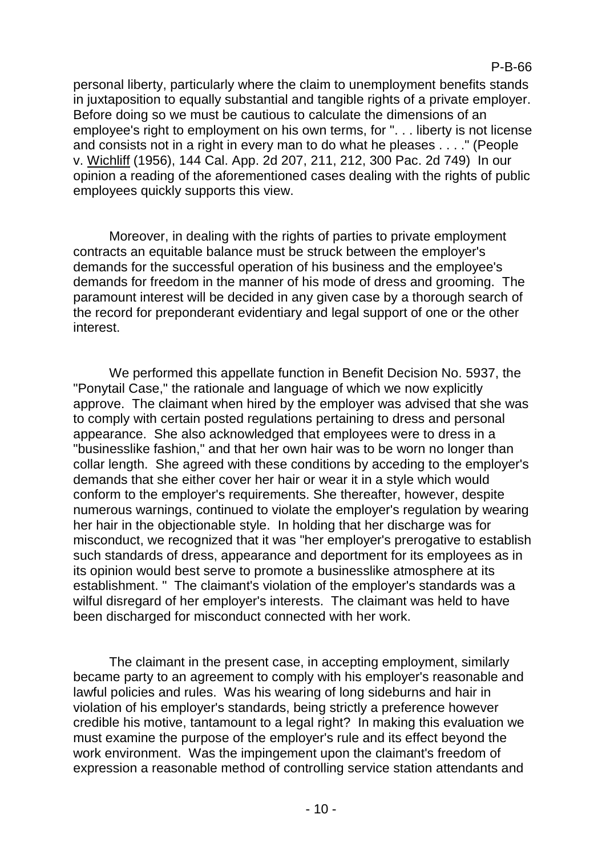personal liberty, particularly where the claim to unemployment benefits stands in juxtaposition to equally substantial and tangible rights of a private employer. Before doing so we must be cautious to calculate the dimensions of an employee's right to employment on his own terms, for ". . . liberty is not license and consists not in a right in every man to do what he pleases . . . ." (People v. Wichliff (1956), 144 Cal. App. 2d 207, 211, 212, 300 Pac. 2d 749) In our opinion a reading of the aforementioned cases dealing with the rights of public employees quickly supports this view.

Moreover, in dealing with the rights of parties to private employment contracts an equitable balance must be struck between the employer's demands for the successful operation of his business and the employee's demands for freedom in the manner of his mode of dress and grooming. The paramount interest will be decided in any given case by a thorough search of the record for preponderant evidentiary and legal support of one or the other interest.

We performed this appellate function in Benefit Decision No. 5937, the "Ponytail Case," the rationale and language of which we now explicitly approve. The claimant when hired by the employer was advised that she was to comply with certain posted regulations pertaining to dress and personal appearance. She also acknowledged that employees were to dress in a "businesslike fashion," and that her own hair was to be worn no longer than collar length. She agreed with these conditions by acceding to the employer's demands that she either cover her hair or wear it in a style which would conform to the employer's requirements. She thereafter, however, despite numerous warnings, continued to violate the employer's regulation by wearing her hair in the objectionable style. In holding that her discharge was for misconduct, we recognized that it was "her employer's prerogative to establish such standards of dress, appearance and deportment for its employees as in its opinion would best serve to promote a businesslike atmosphere at its establishment. " The claimant's violation of the employer's standards was a wilful disregard of her employer's interests. The claimant was held to have been discharged for misconduct connected with her work.

The claimant in the present case, in accepting employment, similarly became party to an agreement to comply with his employer's reasonable and lawful policies and rules. Was his wearing of long sideburns and hair in violation of his employer's standards, being strictly a preference however credible his motive, tantamount to a legal right? In making this evaluation we must examine the purpose of the employer's rule and its effect beyond the work environment. Was the impingement upon the claimant's freedom of expression a reasonable method of controlling service station attendants and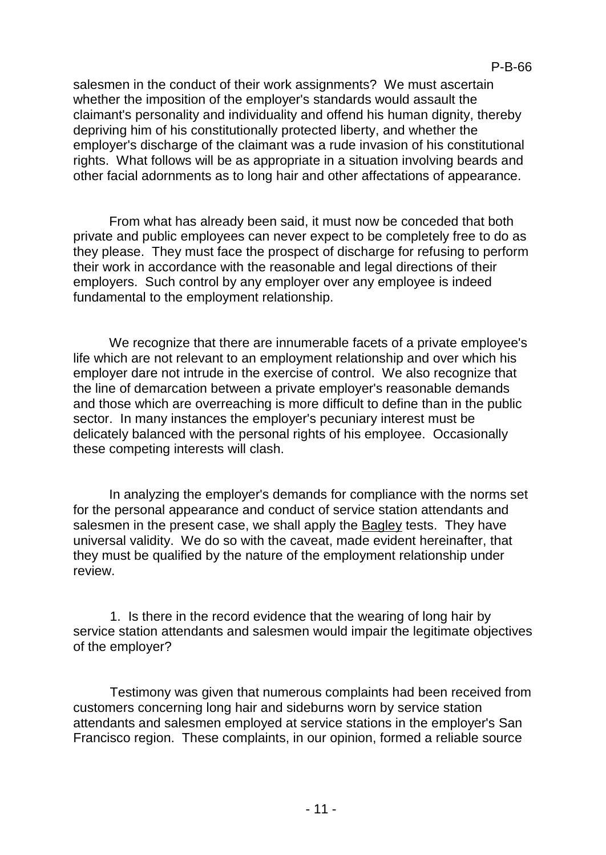salesmen in the conduct of their work assignments? We must ascertain whether the imposition of the employer's standards would assault the claimant's personality and individuality and offend his human dignity, thereby depriving him of his constitutionally protected liberty, and whether the employer's discharge of the claimant was a rude invasion of his constitutional rights. What follows will be as appropriate in a situation involving beards and other facial adornments as to long hair and other affectations of appearance.

From what has already been said, it must now be conceded that both private and public employees can never expect to be completely free to do as they please. They must face the prospect of discharge for refusing to perform their work in accordance with the reasonable and legal directions of their employers. Such control by any employer over any employee is indeed fundamental to the employment relationship.

We recognize that there are innumerable facets of a private employee's life which are not relevant to an employment relationship and over which his employer dare not intrude in the exercise of control. We also recognize that the line of demarcation between a private employer's reasonable demands and those which are overreaching is more difficult to define than in the public sector. In many instances the employer's pecuniary interest must be delicately balanced with the personal rights of his employee. Occasionally these competing interests will clash.

In analyzing the employer's demands for compliance with the norms set for the personal appearance and conduct of service station attendants and salesmen in the present case, we shall apply the Bagley tests. They have universal validity. We do so with the caveat, made evident hereinafter, that they must be qualified by the nature of the employment relationship under review.

1. Is there in the record evidence that the wearing of long hair by service station attendants and salesmen would impair the legitimate objectives of the employer?

Testimony was given that numerous complaints had been received from customers concerning long hair and sideburns worn by service station attendants and salesmen employed at service stations in the employer's San Francisco region. These complaints, in our opinion, formed a reliable source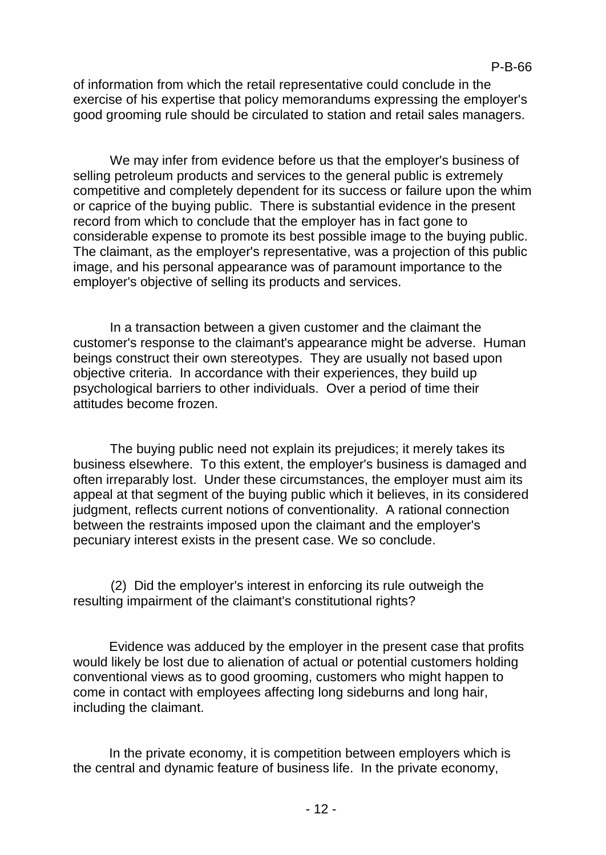of information from which the retail representative could conclude in the exercise of his expertise that policy memorandums expressing the employer's good grooming rule should be circulated to station and retail sales managers.

We may infer from evidence before us that the employer's business of selling petroleum products and services to the general public is extremely competitive and completely dependent for its success or failure upon the whim or caprice of the buying public. There is substantial evidence in the present record from which to conclude that the employer has in fact gone to considerable expense to promote its best possible image to the buying public. The claimant, as the employer's representative, was a projection of this public image, and his personal appearance was of paramount importance to the employer's objective of selling its products and services.

In a transaction between a given customer and the claimant the customer's response to the claimant's appearance might be adverse. Human beings construct their own stereotypes. They are usually not based upon objective criteria. In accordance with their experiences, they build up psychological barriers to other individuals. Over a period of time their attitudes become frozen.

The buying public need not explain its prejudices; it merely takes its business elsewhere. To this extent, the employer's business is damaged and often irreparably lost. Under these circumstances, the employer must aim its appeal at that segment of the buying public which it believes, in its considered iudgment, reflects current notions of conventionality. A rational connection between the restraints imposed upon the claimant and the employer's pecuniary interest exists in the present case. We so conclude.

(2) Did the employer's interest in enforcing its rule outweigh the resulting impairment of the claimant's constitutional rights?

Evidence was adduced by the employer in the present case that profits would likely be lost due to alienation of actual or potential customers holding conventional views as to good grooming, customers who might happen to come in contact with employees affecting long sideburns and long hair, including the claimant.

In the private economy, it is competition between employers which is the central and dynamic feature of business life. In the private economy,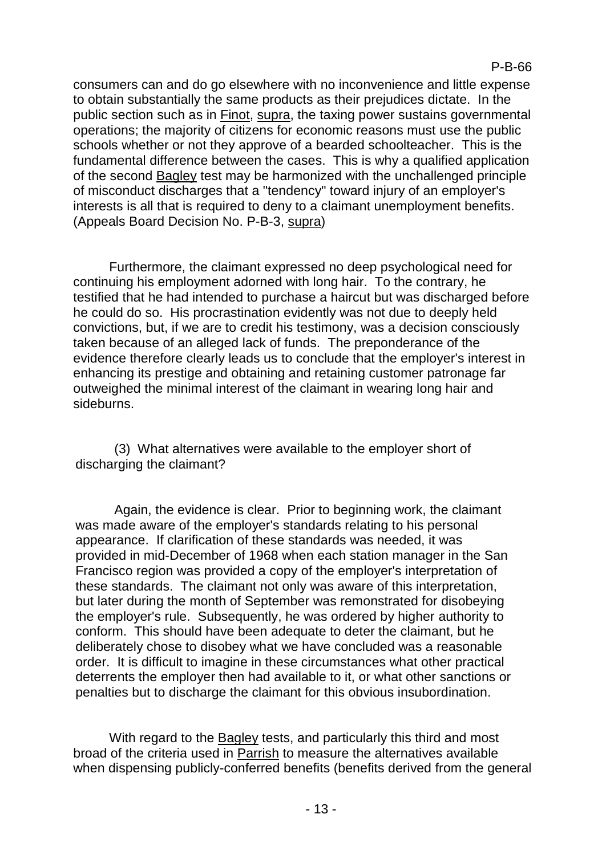consumers can and do go elsewhere with no inconvenience and little expense to obtain substantially the same products as their prejudices dictate. In the public section such as in Finot, supra, the taxing power sustains governmental operations; the majority of citizens for economic reasons must use the public schools whether or not they approve of a bearded schoolteacher. This is the fundamental difference between the cases. This is why a qualified application of the second Bagley test may be harmonized with the unchallenged principle of misconduct discharges that a "tendency" toward injury of an employer's interests is all that is required to deny to a claimant unemployment benefits. (Appeals Board Decision No. P-B-3, supra)

Furthermore, the claimant expressed no deep psychological need for continuing his employment adorned with long hair. To the contrary, he testified that he had intended to purchase a haircut but was discharged before he could do so. His procrastination evidently was not due to deeply held convictions, but, if we are to credit his testimony, was a decision consciously taken because of an alleged lack of funds. The preponderance of the evidence therefore clearly leads us to conclude that the employer's interest in enhancing its prestige and obtaining and retaining customer patronage far outweighed the minimal interest of the claimant in wearing long hair and sideburns.

(3) What alternatives were available to the employer short of discharging the claimant?

Again, the evidence is clear. Prior to beginning work, the claimant was made aware of the employer's standards relating to his personal appearance. If clarification of these standards was needed, it was provided in mid-December of 1968 when each station manager in the San Francisco region was provided a copy of the employer's interpretation of these standards. The claimant not only was aware of this interpretation, but later during the month of September was remonstrated for disobeying the employer's rule. Subsequently, he was ordered by higher authority to conform. This should have been adequate to deter the claimant, but he deliberately chose to disobey what we have concluded was a reasonable order. It is difficult to imagine in these circumstances what other practical deterrents the employer then had available to it, or what other sanctions or penalties but to discharge the claimant for this obvious insubordination.

With regard to the Bagley tests, and particularly this third and most broad of the criteria used in Parrish to measure the alternatives available when dispensing publicly-conferred benefits (benefits derived from the general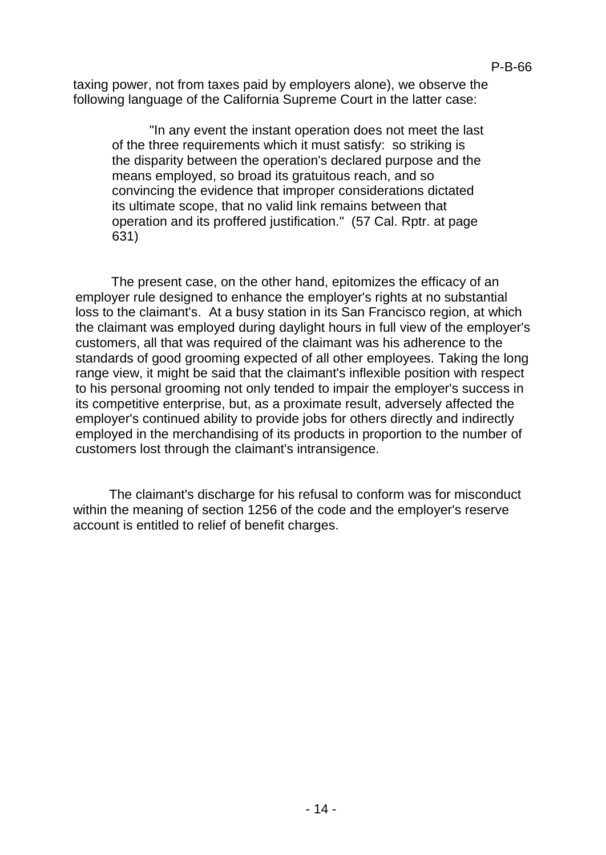taxing power, not from taxes paid by employers alone), we observe the following language of the California Supreme Court in the latter case:

"In any event the instant operation does not meet the last of the three requirements which it must satisfy: so striking is the disparity between the operation's declared purpose and the means employed, so broad its gratuitous reach, and so convincing the evidence that improper considerations dictated its ultimate scope, that no valid link remains between that operation and its proffered justification." (57 Cal. Rptr. at page 631)

The present case, on the other hand, epitomizes the efficacy of an employer rule designed to enhance the employer's rights at no substantial loss to the claimant's. At a busy station in its San Francisco region, at which the claimant was employed during daylight hours in full view of the employer's customers, all that was required of the claimant was his adherence to the standards of good grooming expected of all other employees. Taking the long range view, it might be said that the claimant's inflexible position with respect to his personal grooming not only tended to impair the employer's success in its competitive enterprise, but, as a proximate result, adversely affected the employer's continued ability to provide jobs for others directly and indirectly employed in the merchandising of its products in proportion to the number of customers lost through the claimant's intransigence.

The claimant's discharge for his refusal to conform was for misconduct within the meaning of section 1256 of the code and the employer's reserve account is entitled to relief of benefit charges.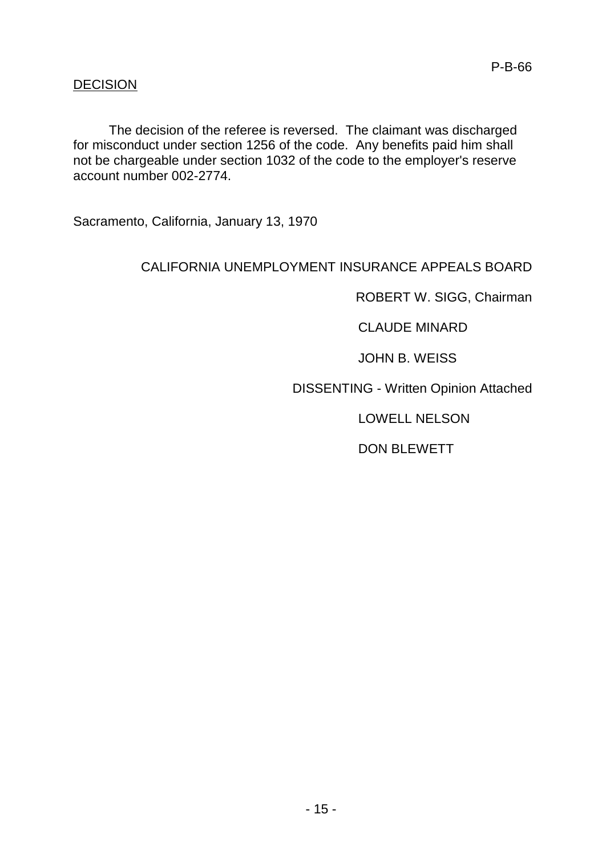## DECISION

The decision of the referee is reversed. The claimant was discharged for misconduct under section 1256 of the code. Any benefits paid him shall not be chargeable under section 1032 of the code to the employer's reserve account number 002-2774.

Sacramento, California, January 13, 1970

## CALIFORNIA UNEMPLOYMENT INSURANCE APPEALS BOARD

ROBERT W. SIGG, Chairman

CLAUDE MINARD

JOHN B. WEISS

DISSENTING - Written Opinion Attached

LOWELL NELSON

DON BLEWETT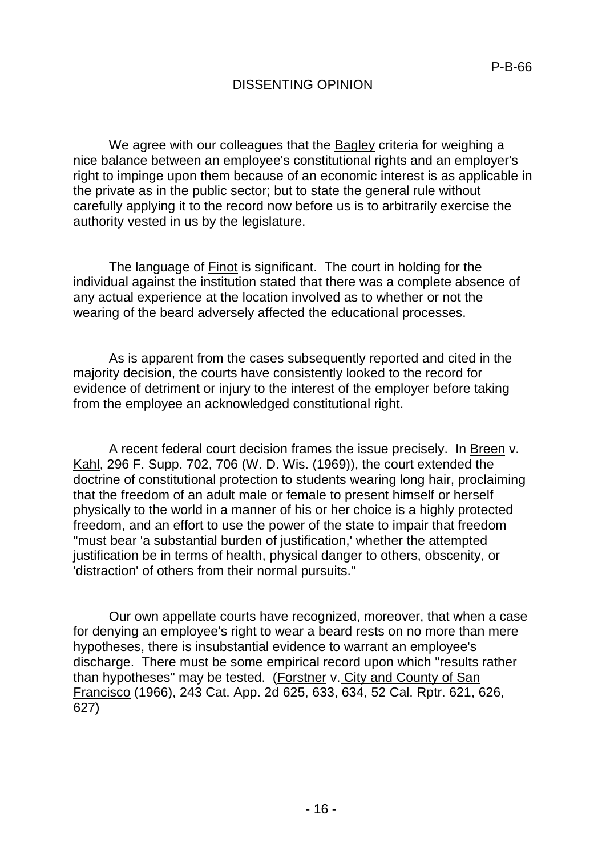# DISSENTING OPINION

We agree with our colleagues that the **Bagley criteria for weighing a** nice balance between an employee's constitutional rights and an employer's right to impinge upon them because of an economic interest is as applicable in the private as in the public sector; but to state the general rule without carefully applying it to the record now before us is to arbitrarily exercise the authority vested in us by the legislature.

The language of Finot is significant. The court in holding for the individual against the institution stated that there was a complete absence of any actual experience at the location involved as to whether or not the wearing of the beard adversely affected the educational processes.

As is apparent from the cases subsequently reported and cited in the majority decision, the courts have consistently looked to the record for evidence of detriment or injury to the interest of the employer before taking from the employee an acknowledged constitutional right.

A recent federal court decision frames the issue precisely. In Breen v. Kahl, 296 F. Supp. 702, 706 (W. D. Wis. (1969)), the court extended the doctrine of constitutional protection to students wearing long hair, proclaiming that the freedom of an adult male or female to present himself or herself physically to the world in a manner of his or her choice is a highly protected freedom, and an effort to use the power of the state to impair that freedom "must bear 'a substantial burden of justification,' whether the attempted justification be in terms of health, physical danger to others, obscenity, or 'distraction' of others from their normal pursuits."

Our own appellate courts have recognized, moreover, that when a case for denying an employee's right to wear a beard rests on no more than mere hypotheses, there is insubstantial evidence to warrant an employee's discharge. There must be some empirical record upon which "results rather than hypotheses" may be tested. (Forstner v. City and County of San Francisco (1966), 243 Cat. App. 2d 625, 633, 634, 52 Cal. Rptr. 621, 626, 627)